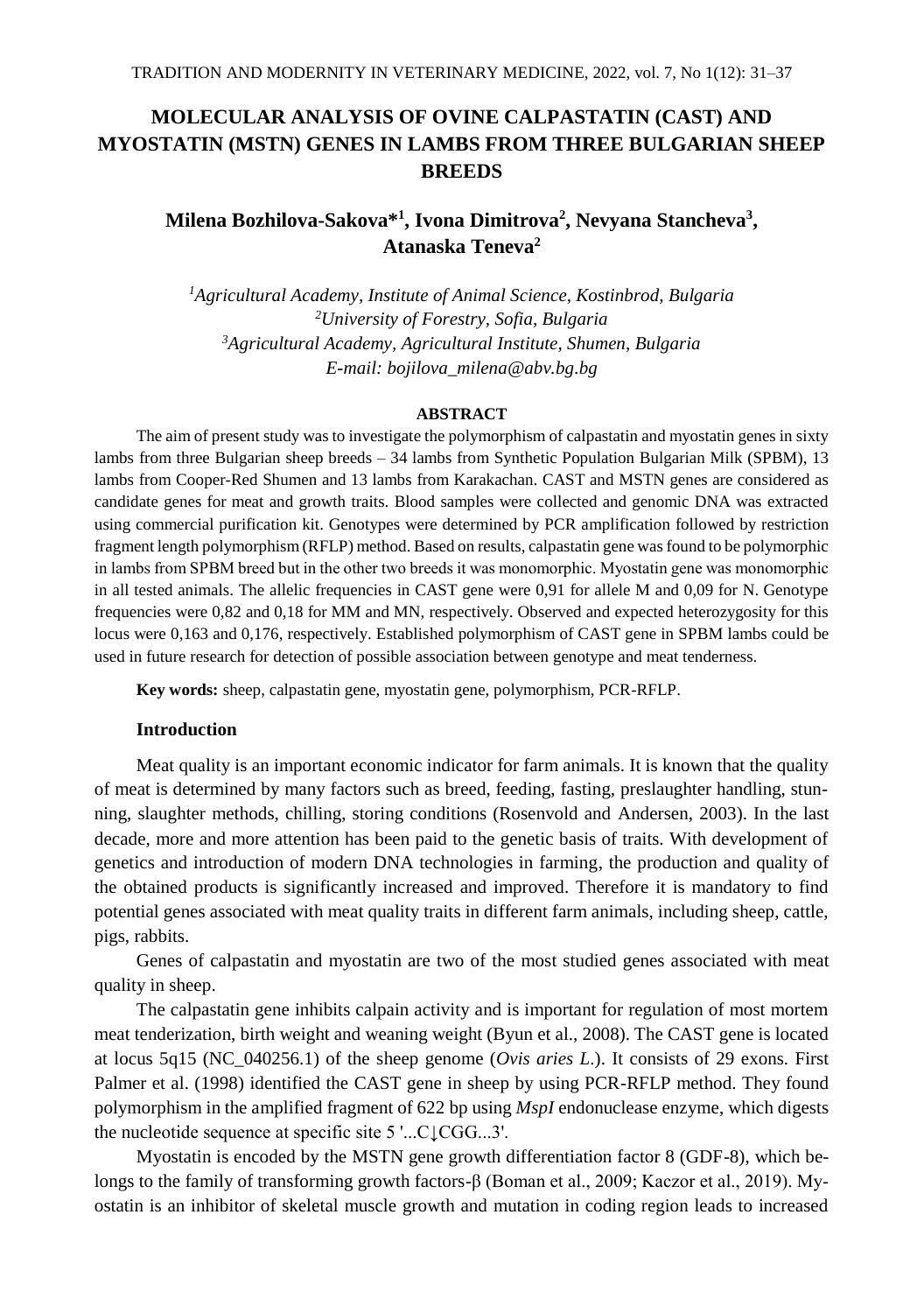# **MOLECULAR ANALYSIS OF OVINE CALPASTATIN (CAST) AND MYOSTATIN (MSTN) GENES IN LAMBS FROM THREE BULGARIAN SHEEP BREEDS**

# **Milena Bozhilova-Sakova\* 1 , Ivona Dimitrova<sup>2</sup> , Nevyana Stancheva<sup>3</sup> , Atanaska Teneva<sup>2</sup>**

*Agricultural Academy, Institute of Animal Science, Kostinbrod, Bulgaria University of Forestry, Sofia, Bulgaria Agricultural Academy, Agricultural Institute, Shumen, Bulgaria E-mail: bojilova\_milena@abv.bg.bg*

### **ABSTRACT**

The aim of present study was to investigate the polymorphism of calpastatin and myostatin genes in sixty lambs from three Bulgarian sheep breeds – 34 lambs from Synthetic Population Bulgarian Milk (SPBM), 13 lambs from Cooper-Red Shumen and 13 lambs from Karakachan. CAST and MSTN genes are considered as candidate genes for meat and growth traits. Blood samples were collected and genomic DNA was extracted using commercial purification kit. Genotypes were determined by PCR amplification followed by restriction fragment length polymorphism (RFLP) method. Based on results, calpastatin gene was found to be polymorphic in lambs from SPBM breed but in the other two breeds it was monomorphic. Myоstatin gene was monomorphic in all tested animals. The allelic frequencies in CAST gene were 0,91 for allele M and 0,09 for N. Genotype frequencies were 0,82 and 0,18 for MM and MN, respectively. Observed and expected heterozygosity for this locus were 0,163 and 0,176, respectively. Established polymorphism of CAST gene in SPBM lambs could be used in future research for detection of possible association between genotype and meat tenderness.

**Key words:** sheep, calpastatin gene, myostatin gene, polymorphism, PCR-RFLP.

#### **Introduction**

Meat quality is an important economic indicator for farm animals. It is known that the quality of meat is determined by many factors such as breed, feeding, fasting, preslaughter handling, stunning, slaughter methods, chilling, storing conditions (Rosenvold and Andersen, 2003). In the last decade, more and more attention has been paid to the genetic basis of traits. With development of genetics and introduction of modern DNA technologies in farming, the production and quality of the obtained products is significantly increased and improved. Therefore it is mandatory to find potential genes associated with meat quality traits in different farm animals, including sheep, cattle, pigs, rabbits.

Genes of calpastatin and myostatin are two of the most studied genes associated with meat quality in sheep.

The calpastatin gene inhibits calpain activity and is important for regulation of most mortem meat tenderization, birth weight and weaning weight (Byun et al., 2008). The CAST gene is located at locus 5q15 (NC\_040256.1) of the sheep genome (*Ovis aries L*.). It consists of 29 exons. First Palmer et al. (1998) identified the CAST gene in sheep by using PCR-RFLP method. They found polymorphism in the amplified fragment of 622 bp using *MspI* endonuclease enzyme, which digests the nucleotide sequence at specific site 5 '...C↓CGG...3'.

Myostatin is encoded by the MSTN gene growth differentiation factor 8 (GDF-8), which belongs to the family of transforming growth factors-β (Boman et al., 2009; Kaczor et al., 2019). Myostatin is an inhibitor of skeletal muscle growth and mutation in coding region leads to increased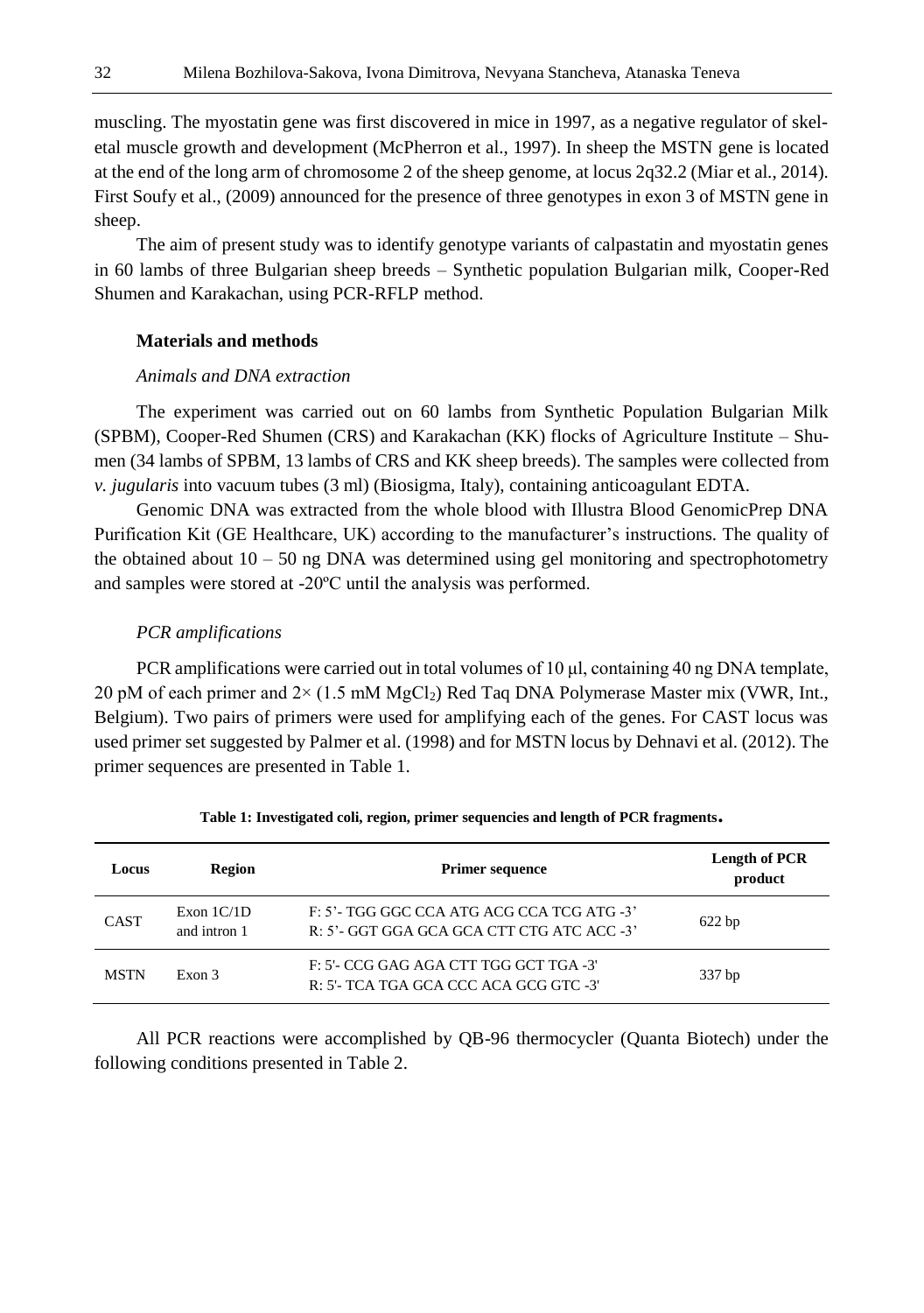muscling. The myostatin gene was first discovered in mice in 1997, as a negative regulator of skeletal muscle growth and development (McPherron et al., 1997). In sheep the MSTN gene is located at the end of the long arm of chromosome 2 of the sheep genome, at locus 2q32.2 (Miar et al., 2014). First Soufy et al., (2009) announced for the presence of three genotypes in exon 3 of MSTN gene in sheep.

The aim of present study was to identify genotype variants of calpastatin and myostatin genes in 60 lambs of three Bulgarian sheep breeds – Synthetic population Bulgarian milk, Cooper-Red Shumen and Karakachan, using PCR-RFLP method.

#### **Materials and methods**

## *Animals and DNA extraction*

The experiment was carried out on 60 lambs from Synthetic Population Bulgarian Milk (SPBM), Cooper-Red Shumen (CRS) and Karakachan (KK) flocks of Agriculture Institute – Shumen (34 lambs of SPBM, 13 lambs of CRS and KK sheep breeds). The samples were collected from *v. jugularis* into vacuum tubes (3 ml) (Biosigma, Italy), containing anticoagulant EDTA.

Genomic DNA was extracted from the whole blood with Illustra Blood GenomicPrep DNA Purification Kit (GE Healthcare, UK) according to the manufacturer's instructions. The quality of the obtained about  $10 - 50$  ng DNA was determined using gel monitoring and spectrophotometry and samples were stored at -20ºC until the analysis was performed.

#### *PCR amplifications*

PCR amplifications were carried out in total volumes of 10 μl, containing 40 ng DNA template, 20 pM of each primer and  $2 \times (1.5 \text{ mM } MgCl<sub>2</sub>)$  Red Taq DNA Polymerase Master mix (VWR, Int., Belgium). Two pairs of primers were used for amplifying each of the genes. For CAST locus was used primer set suggested by Palmer et al. (1998) and for MSTN locus by Dehnavi et al. (2012). The primer sequences are presented in Table 1.

| Locus       | Region                       | <b>Primer sequence</b>                                                                   | <b>Length of PCR</b><br>product |  |  |
|-------------|------------------------------|------------------------------------------------------------------------------------------|---------------------------------|--|--|
| <b>CAST</b> | Exon $1C/1D$<br>and intron 1 | F: 5'- TGG GGC CCA ATG ACG CCA TCG ATG -3'<br>R: 5'- GGT GGA GCA GCA CTT CTG ATC ACC -3' | $622$ bp                        |  |  |
| <b>MSTN</b> | Exon 3                       | F: 5'- CCG GAG AGA CTT TGG GCT TGA -3'<br>R: 5'- TCA TGA GCA CCC ACA GCG GTC -3'         | 337 bp                          |  |  |

| Table 1: Investigated coli, region, primer sequencies and length of PCR fragments. |  |  |
|------------------------------------------------------------------------------------|--|--|
|                                                                                    |  |  |

All PCR reactions were accomplished by QB-96 thermocycler (Quanta Biotech) under the following conditions presented in Table 2.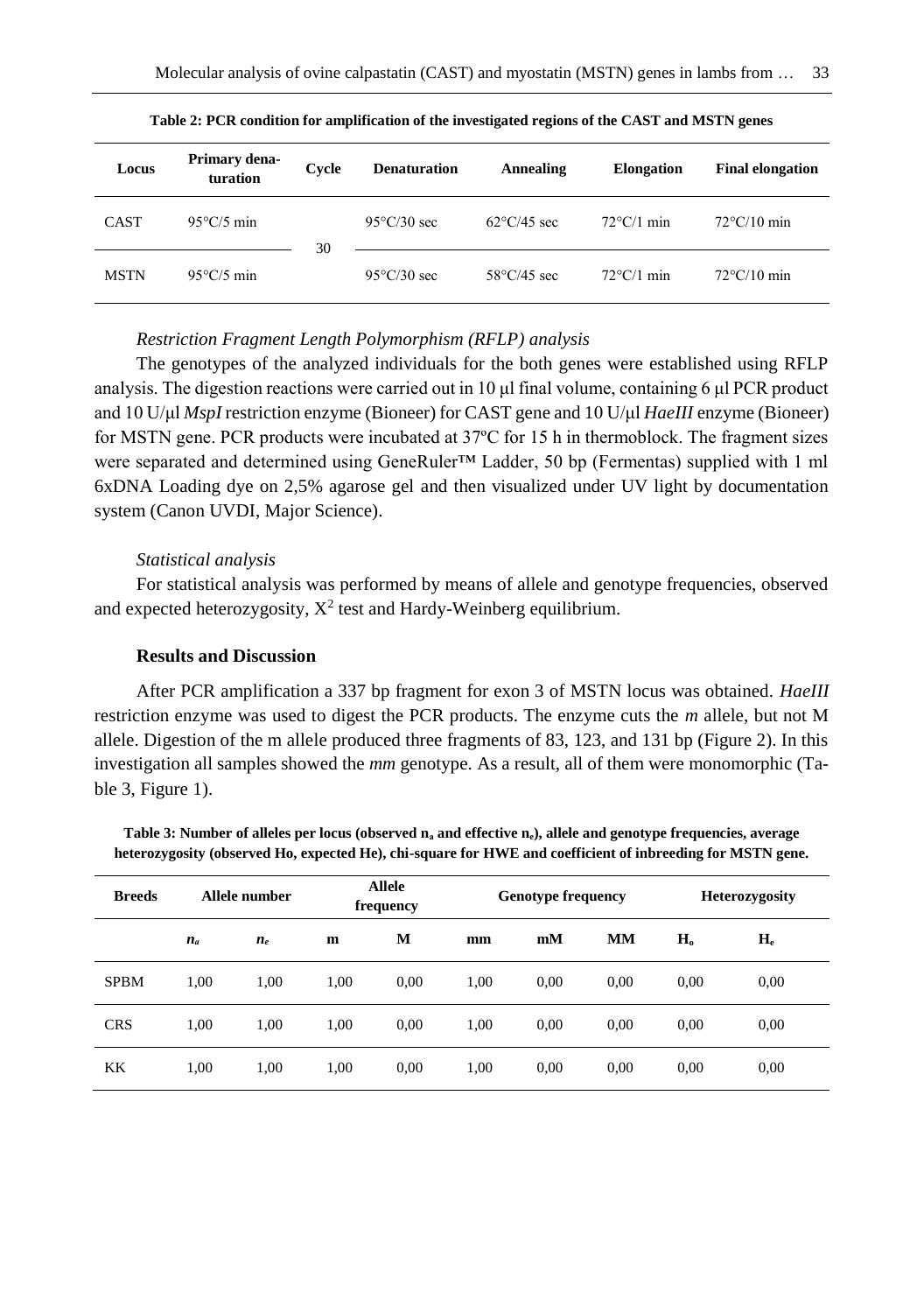| Locus       | Primary dena-<br>turation | Cycle | <b>Denaturation</b>   | Annealing             | <b>Elongation</b>    | <b>Final elongation</b> |  |
|-------------|---------------------------|-------|-----------------------|-----------------------|----------------------|-------------------------|--|
| <b>CAST</b> | $95^{\circ}$ C/5 min      | 30    | $95^{\circ}$ C/30 sec | $62^{\circ}$ C/45 sec | $72^{\circ}$ C/1 min | $72^{\circ}$ C/10 min   |  |
| <b>MSTN</b> | $95^{\circ}$ C/5 min      |       | $95^{\circ}$ C/30 sec | $58^{\circ}$ C/45 sec | $72^{\circ}$ C/1 min | $72^{\circ}$ C/10 min   |  |

**Table 2: PCR condition for amplification of the investigated regions of the CAST and MSTN genes**

#### *Restriction Fragment Length Polymorphism (RFLP) analysis*

The genotypes of the analyzed individuals for the both genes were established using RFLP analysis. The digestion reactions were carried out in 10 μl final volume, containing 6 μl PCR product and 10 U/μl *MspI* restriction enzyme (Bioneer) for CAST gene and 10 U/μl *HaeIII* enzyme (Bioneer) for MSTN gene. PCR products were incubated at 37ºC for 15 h in thermoblock. The fragment sizes were separated and determined using GeneRuler™ Ladder, 50 bp (Fermentas) supplied with 1 ml 6xDNA Loading dye on 2,5% agarose gel and then visualized under UV light by documentation system (Canon UVDI, Major Science).

#### *Statistical analysis*

For statistical analysis was performed by means of allele and genotype frequencies, observed and expected heterozygosity,  $X^2$  test and Hardy-Weinberg equilibrium.

## **Results and Discussion**

After PCR amplification a 337 bp fragment for exon 3 of MSTN locus was obtained. *HaeIII* restriction enzyme was used to digest the PCR products. The enzyme cuts the *m* allele, but not M allele. Digestion of the m allele produced three fragments of 83, 123, and 131 bp (Figure 2). In this investigation all samples showed the *mm* genotype. As a result, all of them were monomorphic (Table 3, Figure 1).

**Table 3: Number of alleles per locus (observed n<sup>а</sup> and effective ne), allele and genotype frequencies, average heterozygosity (observed Ho, expected He), chi-square for HWE and coefficient of inbreeding for MSTN gene.**

| <b>Breeds</b> | Allele number |       | <b>Allele</b><br>frequency |      |      | <b>Genotype frequency</b> |           |         | <b>Heterozygosity</b> |  |
|---------------|---------------|-------|----------------------------|------|------|---------------------------|-----------|---------|-----------------------|--|
|               | $n_a$         | $n_e$ | m                          | M    | mm   | mM                        | <b>MM</b> | $H_{o}$ | $H_e$                 |  |
| <b>SPBM</b>   | 1.00          | 1.00  | 1,00                       | 0.00 | 1,00 | 0.00                      | 0.00      | 0.00    | 0.00                  |  |
| <b>CRS</b>    | 1.00          | 1.00  | 1.00                       | 0.00 | 1,00 | 0.00                      | 0.00      | 0.00    | 0.00                  |  |
| KK            | 1,00          | 1,00  | 1,00                       | 0.00 | 1,00 | 0.00                      | 0,00      | 0.00    | 0.00                  |  |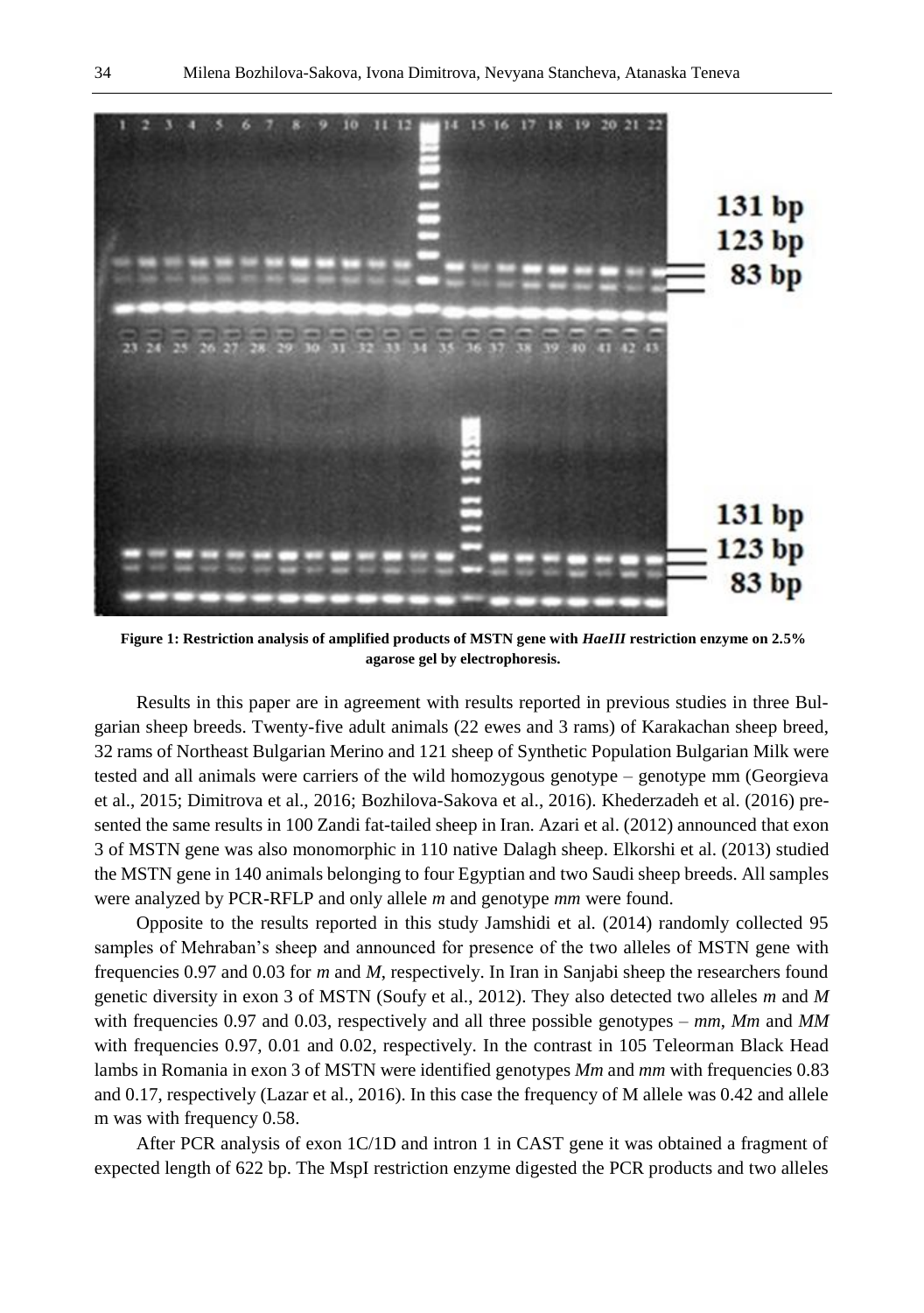

**Figure 1: Restriction analysis of amplified products of MSTN gene with** *HaeIII* **restriction enzyme on 2.5% agarose gel by electrophoresis.**

Results in this paper are in agreement with results reported in previous studies in three Bulgarian sheep breeds. Twenty-five adult animals (22 ewes and 3 rams) of Karakachan sheep breed, 32 rams of Northeast Bulgarian Merino and 121 sheep of Synthetic Population Bulgarian Milk were tested and all animals were carriers of the wild homozygous genotype – genotype mm (Georgieva et al., 2015; Dimitrova et al., 2016; Bozhilova-Sakova et al., 2016). Khederzadeh et al. (2016) presented the same results in 100 Zandi fat-tailed sheep in Iran. Azari et al. (2012) announced that exon 3 of MSTN gene was also monomorphic in 110 native Dalagh sheep. Elkorshi et al. (2013) studied the MSTN gene in 140 animals belonging to four Egyptian and two Saudi sheep breeds. All samples were analyzed by PCR-RFLP and only allele *m* and genotype *mm* were found.

Opposite to the results reported in this study Jamshidi et al. (2014) randomly collected 95 samples of Mehraban's sheep and announced for presence of the two alleles of MSTN gene with frequencies 0.97 and 0.03 for *m* and *M*, respectively. In Iran in Sanjabi sheep the researchers found genetic diversity in exon 3 of MSTN (Soufy et al., 2012). They also detected two alleles *m* and *M* with frequencies 0.97 and 0.03, respectively and all three possible genotypes – *mm*, *Mm* and *MM* with frequencies 0.97, 0.01 and 0.02, respectively. In the contrast in 105 Teleorman Black Head lambs in Romania in exon 3 of MSTN were identified genotypes *Mm* and *mm* with frequencies 0.83 and 0.17, respectively (Lazar et al., 2016). In this case the frequency of M allele was 0.42 and allele m was with frequency 0.58.

After PCR analysis of exon 1C/1D and intron 1 in CAST gene it was obtained a fragment of expected length of 622 bp. The MspI restriction enzyme digested the PCR products and two alleles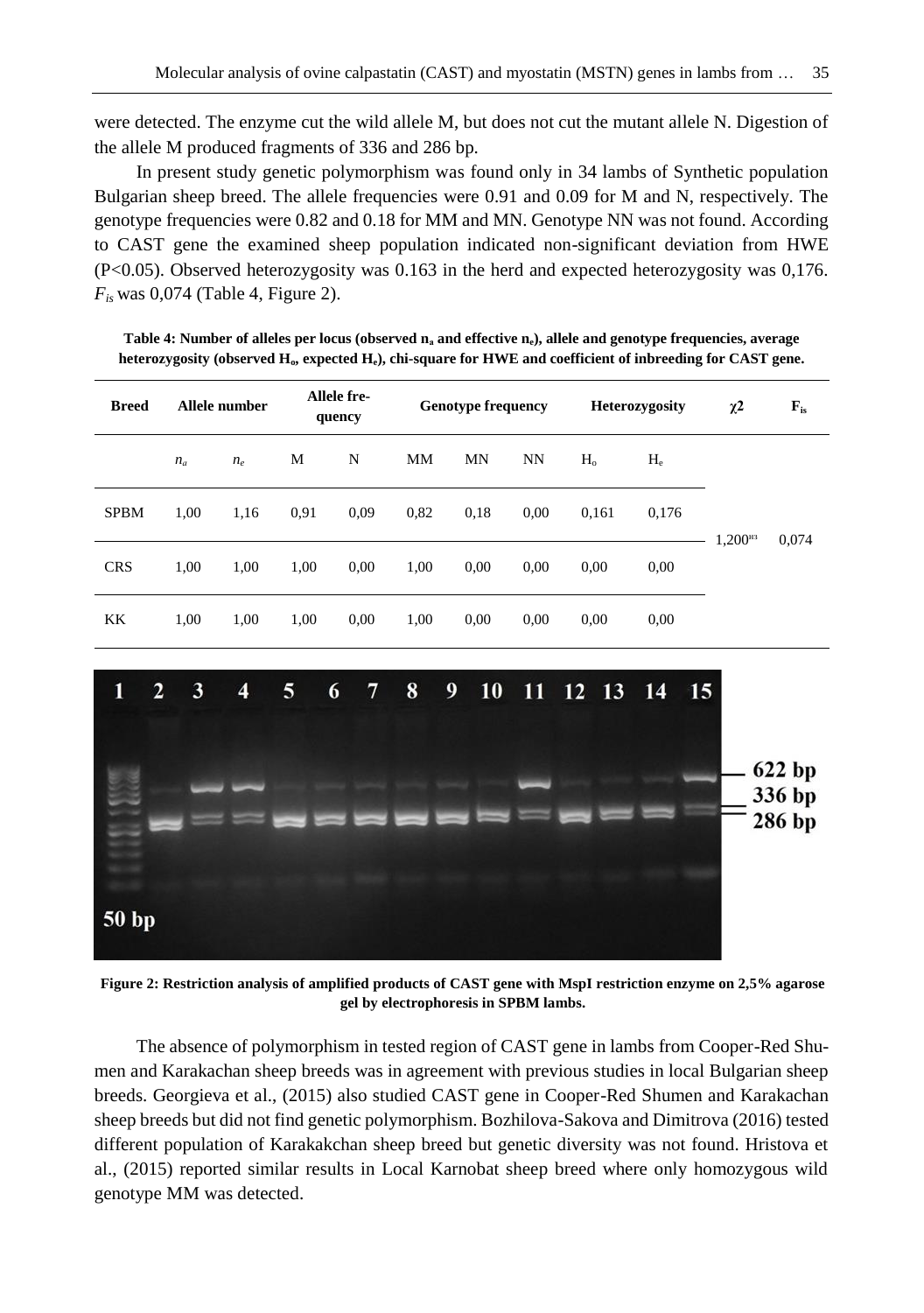were detected. The enzyme cut the wild allele M, but does not cut the mutant allele N. Digestion of the allele M produced fragments of 336 and 286 bp.

In present study genetic polymorphism was found only in 34 lambs of Synthetic population Bulgarian sheep breed. The allele frequencies were 0.91 and 0.09 for M and N, respectively. The genotype frequencies were 0.82 and 0.18 for MM and MN. Genotype NN was not found. According to CAST gene the examined sheep population indicated non-significant deviation from HWE (P<0.05). Observed heterozygosity was 0.163 in the herd and expected heterozygosity was 0,176. *Fis* was 0,074 (Table 4, Figure 2).

**Table 4: Number of alleles per locus (observed n<sup>а</sup> and effective ne), allele and genotype frequencies, average heterozygosity (observed Ho, expected He), chi-square for HWE and coefficient of inbreeding for CAST gene.**

| <b>Breed</b> | Allele number |       | Allele fre-<br><b>Genotype frequency</b><br>quency |      |           | <b>Heterozygosity</b> |      | $\chi^2$ | $F_{is}$ |                      |       |
|--------------|---------------|-------|----------------------------------------------------|------|-----------|-----------------------|------|----------|----------|----------------------|-------|
|              | $n_a$         | $n_e$ | М                                                  | N    | <b>MM</b> | <b>MN</b>             | NN   | $H_0$    | $H_e$    |                      |       |
| <b>SPBM</b>  | 1,00          | 1,16  | 0.91                                               | 0.09 | 0,82      | 0,18                  | 0.00 | 0,161    | 0,176    | 1,200 <sup>iii</sup> | 0,074 |
| <b>CRS</b>   | 1,00          | 1,00  | 1,00                                               | 0.00 | 1,00      | 0,00                  | 0,00 | 0,00     | 0,00     |                      |       |
| <b>KK</b>    | 1,00          | 1,00  | 1,00                                               | 0.00 | 1,00      | 0,00                  | 0,00 | 0,00     | 0,00     |                      |       |



**Figure 2: Restriction analysis of amplified products of CAST gene with MspI restriction enzyme on 2,5% agarose gel by electrophoresis in SPBM lambs.**

The absence of polymorphism in tested region of CAST gene in lambs from Cooper-Red Shumen and Karakachan sheep breeds was in agreement with previous studies in local Bulgarian sheep breeds. Georgieva et al., (2015) also studied CAST gene in Cooper-Red Shumen and Karakachan sheep breeds but did not find genetic polymorphism. Bozhilova-Sakova and Dimitrova (2016) tested different population of Karakakchan sheep breed but genetic diversity was not found. Hristova et al., (2015) reported similar results in Local Karnobat sheep breed where only homozygous wild genotype MM was detected.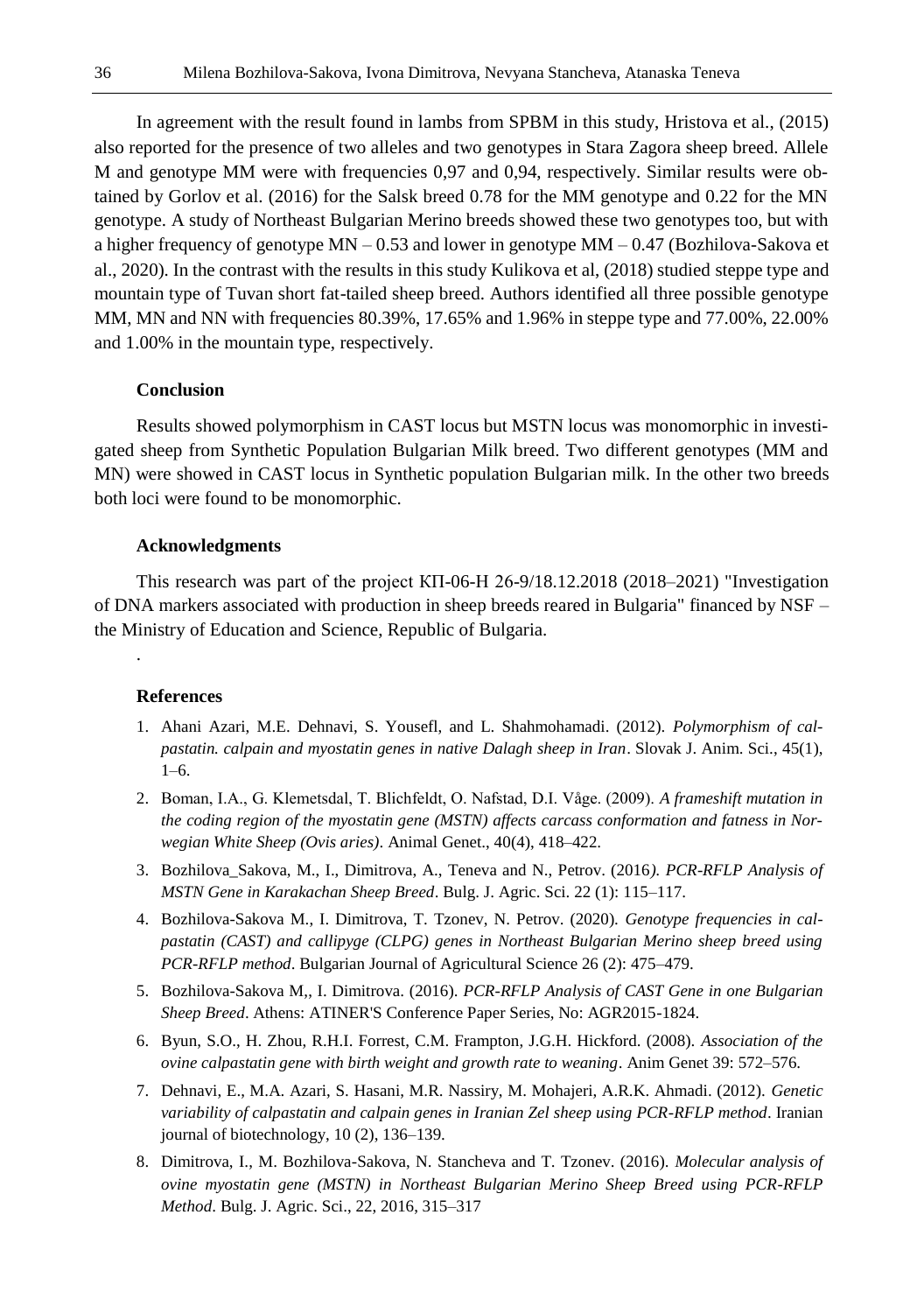In agreement with the result found in lambs from SPBM in this study, Hristova et al., (2015) also reported for the presence of two alleles and two genotypes in Stara Zagora sheep breed. Allele M and genotype MM were with frequencies 0,97 and 0,94, respectively. Similar results were obtained by Gorlov et al. (2016) for the Salsk breed 0.78 for the MM genotype and 0.22 for the MN genotype. A study of Northeast Bulgarian Merino breeds showed these two genotypes too, but with a higher frequency of genotype MN – 0.53 and lower in genotype MM – 0.47 (Bozhilova-Sakova et al., 2020). In the contrast with the results in this study Kulikova et al, (2018) studied steppe type and mountain type of Tuvan short fat-tailed sheep breed. Authors identified all three possible genotype MM, MN and NN with frequencies 80.39%, 17.65% and 1.96% in steppe type and 77.00%, 22.00% and 1.00% in the mountain type, respectively.

#### **Conclusion**

Results showed polymorphism in CAST locus but MSTN locus was monomorphic in investigated sheep from Synthetic Population Bulgarian Milk breed. Two different genotypes (MM and MN) were showed in CAST locus in Synthetic population Bulgarian milk. In the other two breeds both loci were found to be monomorphic.

#### **Acknowledgments**

This research was part of the project КП-06-Н 26-9/18.12.2018 (2018–2021) "Investigation of DNA markers associated with production in sheep breeds reared in Bulgaria" financed by NSF – the Ministry of Education and Science, Republic of Bulgaria.

## **References**

.

- 1. Ahani Azari, M.E. Dehnavi, S. Yousefl, and L. Shahmohamadi. (2012). *Polymorphism of calpastatin. calpain and myostatin genes in native Dalagh sheep in Iran*. Slovak J. Anim. Sci., 45(1),  $1-6.$
- 2. Boman, I.A., G. Klemetsdal, T. Blichfeldt, O. Nafstad, D.I. Våge. (2009). *A frameshift mutation in the coding region of the myostatin gene (MSTN) affects carcass conformation and fatness in Norwegian White Sheep (Ovis aries)*. Animal Genet., 40(4), 418–422.
- 3. Bozhilova\_Sakova, M., I., Dimitrova, A., Teneva and N., Petrov. (2016*). PCR-RFLP Analysis of MSTN Gene in Karakachan Sheep Breed*. Bulg. J. Agric. Sci. 22 (1): 115–117.
- 4. Bozhilova-Sakova M., I. Dimitrova, T. Tzonev, N. Petrov. (2020). *Genotype frequencies in calpastatin (CAST) and callipyge (CLPG) genes in Northeast Bulgarian Merino sheep breed using PCR-RFLP method*. Bulgarian Journal of Agricultural Science 26 (2): 475–479.
- 5. Bozhilova-Sakova M,, I. Dimitrova. (2016). *PCR-RFLP Analysis of CAST Gene in one Bulgarian Sheep Breed*. Athens: ATINER'S Conference Paper Series, No: AGR2015-1824.
- 6. Byun, S.O., H. Zhou, R.H.I. Forrest, C.M. Frampton, J.G.H. Hickford. (2008). *Association of the ovine calpastatin gene with birth weight and growth rate to weaning*. Anim Genet 39: 572–576.
- 7. Dehnavi, E., M.A. Azari, S. Hasani, M.R. Nassiry, M. Mohajeri, A.R.K. Ahmadi. (2012). *Genetic variability of calpastatin and calpain genes in Iranian Zel sheep using PCR-RFLP method*. Iranian journal of biotechnology, 10 (2), 136–139.
- 8. Dimitrova, I., M. Bozhilova-Sakova, N. Stancheva and T. Tzonev. (2016). *Molecular analysis of ovine myostatin gene (MSTN) in Northeast Bulgarian Merino Sheep Breed using PCR-RFLP Method*. Bulg. J. Agric. Sci., 22, 2016, 315–317